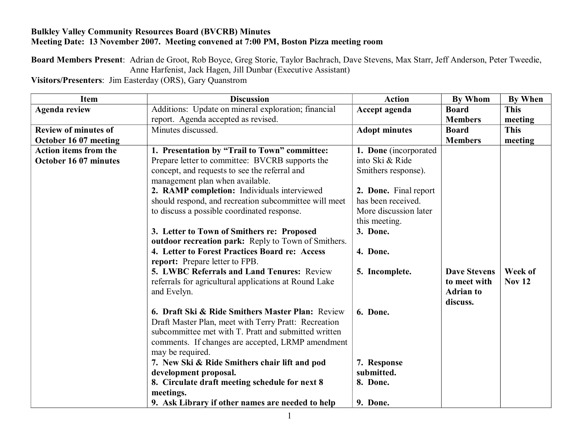## **Bulkley Valley Community Resources Board (BVCRB) Minutes Meeting Date: 13 November 2007. Meeting convened at 7:00 PM, Boston Pizza meeting room**

**Board Members Present**: Adrian de Groot, Rob Boyce, Greg Storie, Taylor Bachrach, Dave Stevens, Max Starr, Jeff Anderson, Peter Tweedie, Anne Harfenist, Jack Hagen, Jill Dunbar (Executive Assistant)

**Visitors/Presenters**: Jim Easterday (ORS), Gary Quanstrom

| <b>Item</b>                  | <b>Discussion</b>                                     | <b>Action</b>         | <b>By Whom</b>      | <b>By When</b> |
|------------------------------|-------------------------------------------------------|-----------------------|---------------------|----------------|
| <b>Agenda review</b>         | Additions: Update on mineral exploration; financial   | Accept agenda         | <b>Board</b>        | <b>This</b>    |
|                              | report. Agenda accepted as revised.                   |                       | <b>Members</b>      | meeting        |
| <b>Review of minutes of</b>  | Minutes discussed.                                    | <b>Adopt minutes</b>  | <b>Board</b>        | <b>This</b>    |
| October 16 07 meeting        |                                                       |                       | <b>Members</b>      | meeting        |
| <b>Action items from the</b> | 1. Presentation by "Trail to Town" committee:         | 1. Done (incorporated |                     |                |
| October 16 07 minutes        | Prepare letter to committee: BVCRB supports the       | into Ski & Ride       |                     |                |
|                              | concept, and requests to see the referral and         | Smithers response).   |                     |                |
|                              | management plan when available.                       |                       |                     |                |
|                              | 2. RAMP completion: Individuals interviewed           | 2. Done. Final report |                     |                |
|                              | should respond, and recreation subcommittee will meet | has been received.    |                     |                |
|                              | to discuss a possible coordinated response.           | More discussion later |                     |                |
|                              |                                                       | this meeting.         |                     |                |
|                              | 3. Letter to Town of Smithers re: Proposed            | 3. Done.              |                     |                |
|                              | outdoor recreation park: Reply to Town of Smithers.   |                       |                     |                |
|                              | 4. Letter to Forest Practices Board re: Access        | 4. Done.              |                     |                |
|                              | report: Prepare letter to FPB.                        |                       |                     |                |
|                              | 5. LWBC Referrals and Land Tenures: Review            | 5. Incomplete.        | <b>Dave Stevens</b> | Week of        |
|                              | referrals for agricultural applications at Round Lake |                       | to meet with        | <b>Nov 12</b>  |
|                              | and Evelyn.                                           |                       | <b>Adrian to</b>    |                |
|                              |                                                       |                       | discuss.            |                |
|                              | 6. Draft Ski & Ride Smithers Master Plan: Review      | 6. Done.              |                     |                |
|                              | Draft Master Plan, meet with Terry Pratt: Recreation  |                       |                     |                |
|                              | subcommittee met with T. Pratt and submitted written  |                       |                     |                |
|                              | comments. If changes are accepted, LRMP amendment     |                       |                     |                |
|                              | may be required.                                      |                       |                     |                |
|                              | 7. New Ski & Ride Smithers chair lift and pod         | 7. Response           |                     |                |
|                              | development proposal.                                 | submitted.            |                     |                |
|                              | 8. Circulate draft meeting schedule for next 8        | 8. Done.              |                     |                |
|                              | meetings.                                             |                       |                     |                |
|                              | 9. Ask Library if other names are needed to help      | 9. Done.              |                     |                |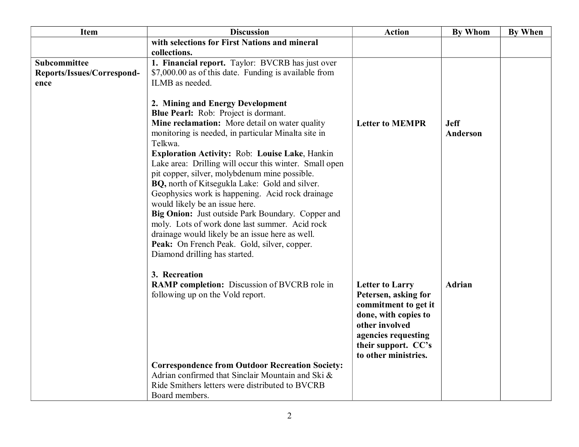| <b>Item</b>                | <b>Discussion</b>                                                                              | <b>Action</b>          | <b>By Whom</b> | <b>By When</b> |
|----------------------------|------------------------------------------------------------------------------------------------|------------------------|----------------|----------------|
|                            | with selections for First Nations and mineral                                                  |                        |                |                |
|                            | collections.                                                                                   |                        |                |                |
| <b>Subcommittee</b>        | 1. Financial report. Taylor: BVCRB has just over                                               |                        |                |                |
| Reports/Issues/Correspond- | \$7,000.00 as of this date. Funding is available from                                          |                        |                |                |
| ence                       | ILMB as needed.                                                                                |                        |                |                |
|                            |                                                                                                |                        |                |                |
|                            | 2. Mining and Energy Development<br><b>Blue Pearl:</b> Rob: Project is dormant.                |                        |                |                |
|                            | Mine reclamation: More detail on water quality                                                 | <b>Letter to MEMPR</b> | <b>Jeff</b>    |                |
|                            | monitoring is needed, in particular Minalta site in                                            |                        | Anderson       |                |
|                            | Telkwa.                                                                                        |                        |                |                |
|                            | Exploration Activity: Rob: Louise Lake, Hankin                                                 |                        |                |                |
|                            | Lake area: Drilling will occur this winter. Small open                                         |                        |                |                |
|                            | pit copper, silver, molybdenum mine possible.                                                  |                        |                |                |
|                            | BQ, north of Kitsegukla Lake: Gold and silver.                                                 |                        |                |                |
|                            | Geophysics work is happening. Acid rock drainage                                               |                        |                |                |
|                            | would likely be an issue here.                                                                 |                        |                |                |
|                            | Big Onion: Just outside Park Boundary. Copper and                                              |                        |                |                |
|                            | moly. Lots of work done last summer. Acid rock                                                 |                        |                |                |
|                            | drainage would likely be an issue here as well.<br>Peak: On French Peak. Gold, silver, copper. |                        |                |                |
|                            | Diamond drilling has started.                                                                  |                        |                |                |
|                            |                                                                                                |                        |                |                |
|                            | 3. Recreation                                                                                  |                        |                |                |
|                            | RAMP completion: Discussion of BVCRB role in                                                   | <b>Letter to Larry</b> | <b>Adrian</b>  |                |
|                            | following up on the Vold report.                                                               | Petersen, asking for   |                |                |
|                            |                                                                                                | commitment to get it   |                |                |
|                            |                                                                                                | done, with copies to   |                |                |
|                            |                                                                                                | other involved         |                |                |
|                            |                                                                                                | agencies requesting    |                |                |
|                            |                                                                                                | their support. CC's    |                |                |
|                            |                                                                                                | to other ministries.   |                |                |
|                            | <b>Correspondence from Outdoor Recreation Society:</b>                                         |                        |                |                |
|                            | Adrian confirmed that Sinclair Mountain and Ski &                                              |                        |                |                |
|                            | Ride Smithers letters were distributed to BVCRB<br>Board members.                              |                        |                |                |
|                            |                                                                                                |                        |                |                |